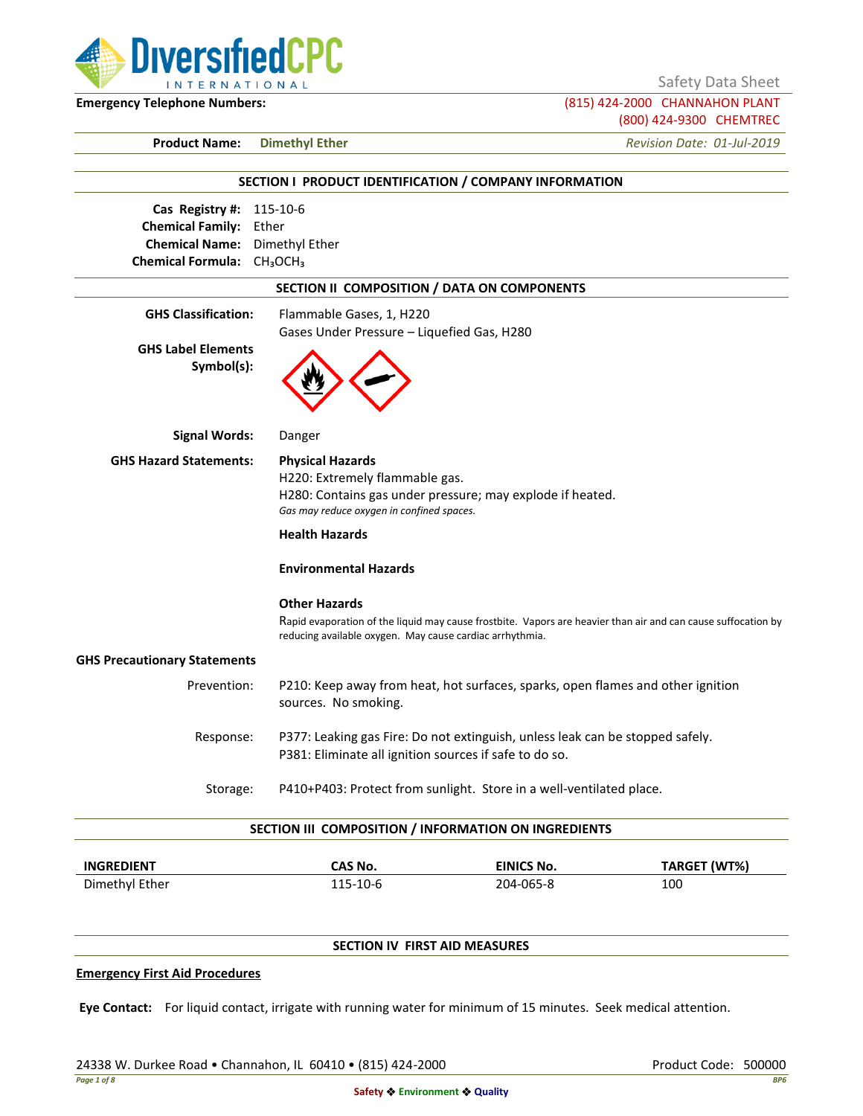

Safety Data Sheet

**Emergency Telephone Numbers:** (815) 424-2000 CHANNAHON PLANT (800) 424-9300 CHEMTREC

**Product Name: Dimethyl Ether** *Revision Date: 01-Jul-2019*

|                                                    |                                                          | SECTION I PRODUCT IDENTIFICATION / COMPANY INFORMATION                                                                                  |                                                                                                               |
|----------------------------------------------------|----------------------------------------------------------|-----------------------------------------------------------------------------------------------------------------------------------------|---------------------------------------------------------------------------------------------------------------|
| Cas Registry #: 115-10-6                           |                                                          |                                                                                                                                         |                                                                                                               |
| <b>Chemical Family:</b> Ether                      |                                                          |                                                                                                                                         |                                                                                                               |
| <b>Chemical Name:</b> Dimethyl Ether               |                                                          |                                                                                                                                         |                                                                                                               |
| Chemical Formula: CH <sub>3</sub> OCH <sub>3</sub> |                                                          |                                                                                                                                         |                                                                                                               |
|                                                    |                                                          | SECTION II COMPOSITION / DATA ON COMPONENTS                                                                                             |                                                                                                               |
| <b>GHS Classification:</b>                         | Flammable Gases, 1, H220                                 |                                                                                                                                         |                                                                                                               |
|                                                    | Gases Under Pressure - Liquefied Gas, H280               |                                                                                                                                         |                                                                                                               |
| <b>GHS Label Elements</b><br>Symbol(s):            |                                                          |                                                                                                                                         |                                                                                                               |
| <b>Signal Words:</b>                               | Danger                                                   |                                                                                                                                         |                                                                                                               |
| <b>GHS Hazard Statements:</b>                      | <b>Physical Hazards</b>                                  |                                                                                                                                         |                                                                                                               |
|                                                    | H220: Extremely flammable gas.                           |                                                                                                                                         |                                                                                                               |
|                                                    |                                                          | H280: Contains gas under pressure; may explode if heated.                                                                               |                                                                                                               |
|                                                    | Gas may reduce oxygen in confined spaces.                |                                                                                                                                         |                                                                                                               |
|                                                    | <b>Health Hazards</b>                                    |                                                                                                                                         |                                                                                                               |
|                                                    | <b>Environmental Hazards</b>                             |                                                                                                                                         |                                                                                                               |
|                                                    | <b>Other Hazards</b>                                     |                                                                                                                                         |                                                                                                               |
|                                                    | reducing available oxygen. May cause cardiac arrhythmia. |                                                                                                                                         | Rapid evaporation of the liquid may cause frostbite. Vapors are heavier than air and can cause suffocation by |
| <b>GHS Precautionary Statements</b>                |                                                          |                                                                                                                                         |                                                                                                               |
| Prevention:                                        | sources. No smoking.                                     | P210: Keep away from heat, hot surfaces, sparks, open flames and other ignition                                                         |                                                                                                               |
| Response:                                          |                                                          | P377: Leaking gas Fire: Do not extinguish, unless leak can be stopped safely.<br>P381: Eliminate all ignition sources if safe to do so. |                                                                                                               |
| Storage:                                           |                                                          | P410+P403: Protect from sunlight. Store in a well-ventilated place.                                                                     |                                                                                                               |
|                                                    |                                                          | SECTION III COMPOSITION / INFORMATION ON INGREDIENTS                                                                                    |                                                                                                               |
| <b>INGREDIENT</b>                                  | <b>CAS No.</b>                                           | <b>EINICS No.</b>                                                                                                                       | TARGET (WT%)                                                                                                  |

#### **SECTION IV FIRST AID MEASURES**

#### **Emergency First Aid Procedures**

**Eye Contact:** For liquid contact, irrigate with running water for minimum of 15 minutes. Seek medical attention.

Dimethyl Ether 115-10-6 204-065-8 100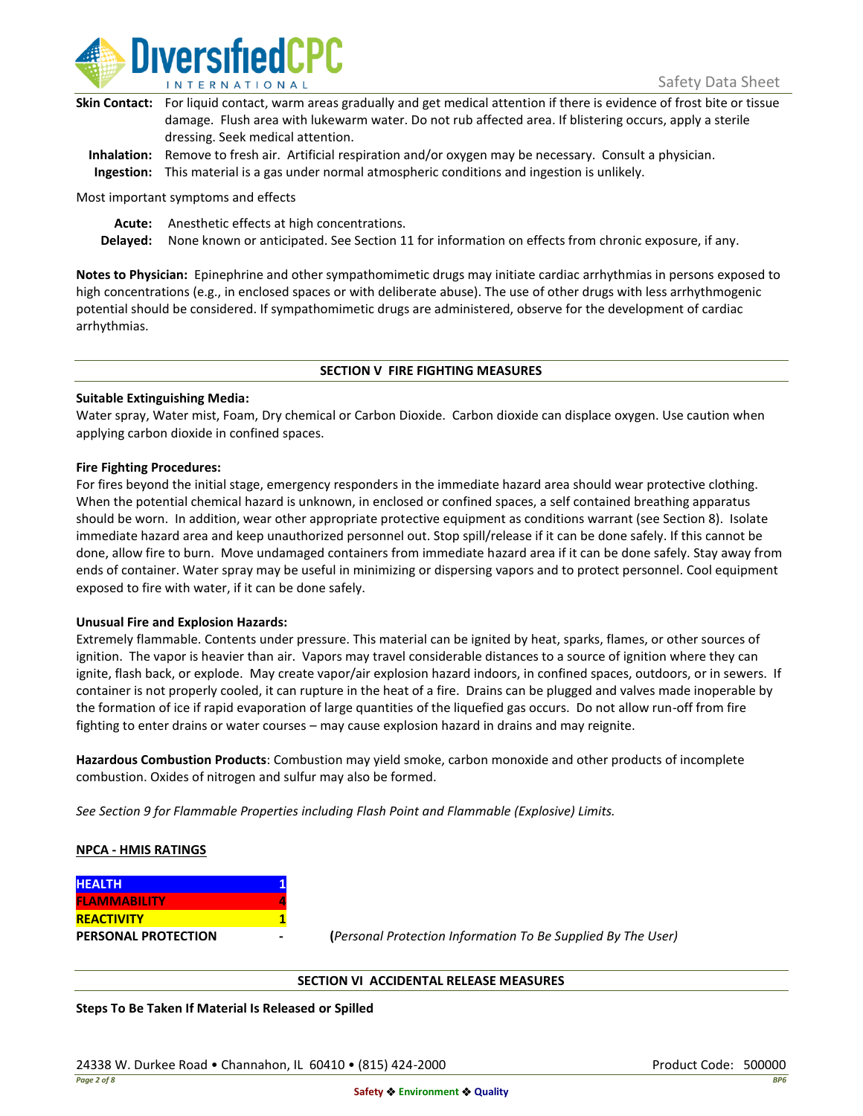

| Skin Contact: For liquid contact, warm areas gradually and get medical attention if there is evidence of frost bite or tissue |
|-------------------------------------------------------------------------------------------------------------------------------|
| damage. Flush area with lukewarm water. Do not rub affected area. If blistering occurs, apply a sterile                       |
| dressing. Seek medical attention.                                                                                             |
|                                                                                                                               |

**Inhalation:** Remove to fresh air. Artificial respiration and/or oxygen may be necessary. Consult a physician. **Ingestion:** This material is a gas under normal atmospheric conditions and ingestion is unlikely.

Most important symptoms and effects

**Acute:** Anesthetic effects at high concentrations.

**Delayed:** None known or anticipated. See Section 11 for information on effects from chronic exposure, if any.

**Notes to Physician:** Epinephrine and other sympathomimetic drugs may initiate cardiac arrhythmias in persons exposed to high concentrations (e.g., in enclosed spaces or with deliberate abuse). The use of other drugs with less arrhythmogenic potential should be considered. If sympathomimetic drugs are administered, observe for the development of cardiac arrhythmias.

#### **SECTION V FIRE FIGHTING MEASURES**

#### **Suitable Extinguishing Media:**

Water spray, Water mist, Foam, Dry chemical or Carbon Dioxide. Carbon dioxide can displace oxygen. Use caution when applying carbon dioxide in confined spaces.

#### **Fire Fighting Procedures:**

For fires beyond the initial stage, emergency responders in the immediate hazard area should wear protective clothing. When the potential chemical hazard is unknown, in enclosed or confined spaces, a self contained breathing apparatus should be worn. In addition, wear other appropriate protective equipment as conditions warrant (see Section 8). Isolate immediate hazard area and keep unauthorized personnel out. Stop spill/release if it can be done safely. If this cannot be done, allow fire to burn. Move undamaged containers from immediate hazard area if it can be done safely. Stay away from ends of container. Water spray may be useful in minimizing or dispersing vapors and to protect personnel. Cool equipment exposed to fire with water, if it can be done safely.

#### **Unusual Fire and Explosion Hazards:**

Extremely flammable. Contents under pressure. This material can be ignited by heat, sparks, flames, or other sources of ignition. The vapor is heavier than air. Vapors may travel considerable distances to a source of ignition where they can ignite, flash back, or explode. May create vapor/air explosion hazard indoors, in confined spaces, outdoors, or in sewers. If container is not properly cooled, it can rupture in the heat of a fire. Drains can be plugged and valves made inoperable by the formation of ice if rapid evaporation of large quantities of the liquefied gas occurs. Do not allow run-off from fire fighting to enter drains or water courses – may cause explosion hazard in drains and may reignite.

**Hazardous Combustion Products**: Combustion may yield smoke, carbon monoxide and other products of incomplete combustion. Oxides of nitrogen and sulfur may also be formed.

*See Section 9 for Flammable Properties including Flash Point and Flammable (Explosive) Limits.*

#### **NPCA - HMIS RATINGS**

| <b>HEALTH</b>       |  |
|---------------------|--|
| <b>FLAMMABILITY</b> |  |
| <b>REACTIVITY</b>   |  |
| PERSONAL PROTECTION |  |

**PERSONAL PROTECTION - (***Personal Protection Information To Be Supplied By The User)*

#### **SECTION VI ACCIDENTAL RELEASE MEASURES**

**Steps To Be Taken If Material Is Released or Spilled**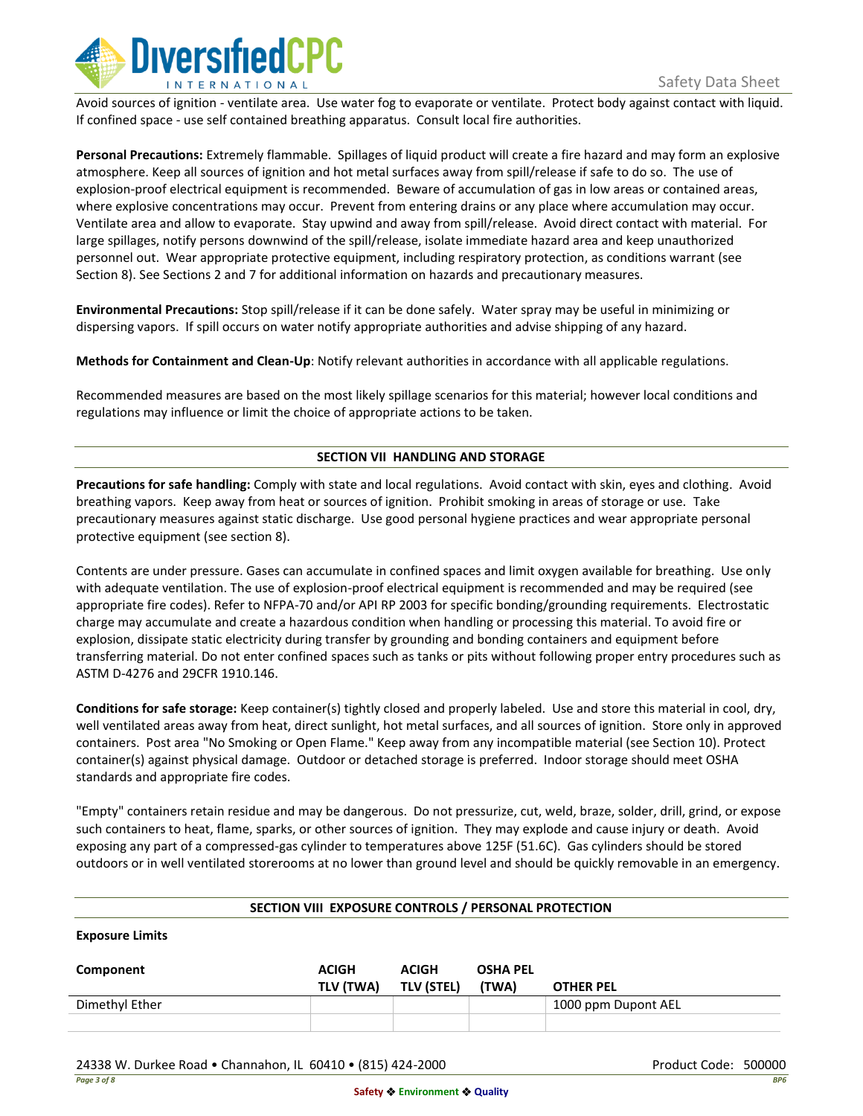

Avoid sources of ignition - ventilate area. Use water fog to evaporate or ventilate. Protect body against contact with liquid. If confined space - use self contained breathing apparatus. Consult local fire authorities.

**Personal Precautions:** Extremely flammable. Spillages of liquid product will create a fire hazard and may form an explosive atmosphere. Keep all sources of ignition and hot metal surfaces away from spill/release if safe to do so. The use of explosion-proof electrical equipment is recommended. Beware of accumulation of gas in low areas or contained areas, where explosive concentrations may occur. Prevent from entering drains or any place where accumulation may occur. Ventilate area and allow to evaporate. Stay upwind and away from spill/release. Avoid direct contact with material. For large spillages, notify persons downwind of the spill/release, isolate immediate hazard area and keep unauthorized personnel out. Wear appropriate protective equipment, including respiratory protection, as conditions warrant (see Section 8). See Sections 2 and 7 for additional information on hazards and precautionary measures.

**Environmental Precautions:** Stop spill/release if it can be done safely. Water spray may be useful in minimizing or dispersing vapors. If spill occurs on water notify appropriate authorities and advise shipping of any hazard.

**Methods for Containment and Clean-Up**: Notify relevant authorities in accordance with all applicable regulations.

Recommended measures are based on the most likely spillage scenarios for this material; however local conditions and regulations may influence or limit the choice of appropriate actions to be taken.

#### **SECTION VII HANDLING AND STORAGE**

**Precautions for safe handling:** Comply with state and local regulations. Avoid contact with skin, eyes and clothing. Avoid breathing vapors. Keep away from heat or sources of ignition. Prohibit smoking in areas of storage or use. Take precautionary measures against static discharge. Use good personal hygiene practices and wear appropriate personal protective equipment (see section 8).

Contents are under pressure. Gases can accumulate in confined spaces and limit oxygen available for breathing. Use only with adequate ventilation. The use of explosion-proof electrical equipment is recommended and may be required (see appropriate fire codes). Refer to NFPA-70 and/or API RP 2003 for specific bonding/grounding requirements. Electrostatic charge may accumulate and create a hazardous condition when handling or processing this material. To avoid fire or explosion, dissipate static electricity during transfer by grounding and bonding containers and equipment before transferring material. Do not enter confined spaces such as tanks or pits without following proper entry procedures such as ASTM D-4276 and 29CFR 1910.146.

**Conditions for safe storage:** Keep container(s) tightly closed and properly labeled. Use and store this material in cool, dry, well ventilated areas away from heat, direct sunlight, hot metal surfaces, and all sources of ignition. Store only in approved containers. Post area "No Smoking or Open Flame." Keep away from any incompatible material (see Section 10). Protect container(s) against physical damage. Outdoor or detached storage is preferred. Indoor storage should meet OSHA standards and appropriate fire codes.

"Empty" containers retain residue and may be dangerous. Do not pressurize, cut, weld, braze, solder, drill, grind, or expose such containers to heat, flame, sparks, or other sources of ignition. They may explode and cause injury or death. Avoid exposing any part of a compressed-gas cylinder to temperatures above 125F (51.6C). Gas cylinders should be stored outdoors or in well ventilated storerooms at no lower than ground level and should be quickly removable in an emergency.

#### **SECTION VIII EXPOSURE CONTROLS / PERSONAL PROTECTION**

**Exposure Limits**

| Component      | <b>ACIGH</b><br>TLV (TWA) | <b>ACIGH</b><br><b>TLV (STEL)</b> | <b>OSHA PEL</b><br>(TWA) | <b>OTHER PEL</b>    |
|----------------|---------------------------|-----------------------------------|--------------------------|---------------------|
| Dimethyl Ether |                           |                                   |                          | 1000 ppm Dupont AEL |
|                |                           |                                   |                          |                     |

24338 W. Durkee Road • Channahon, IL 60410 • (815) 424-2000 Product Code: 500000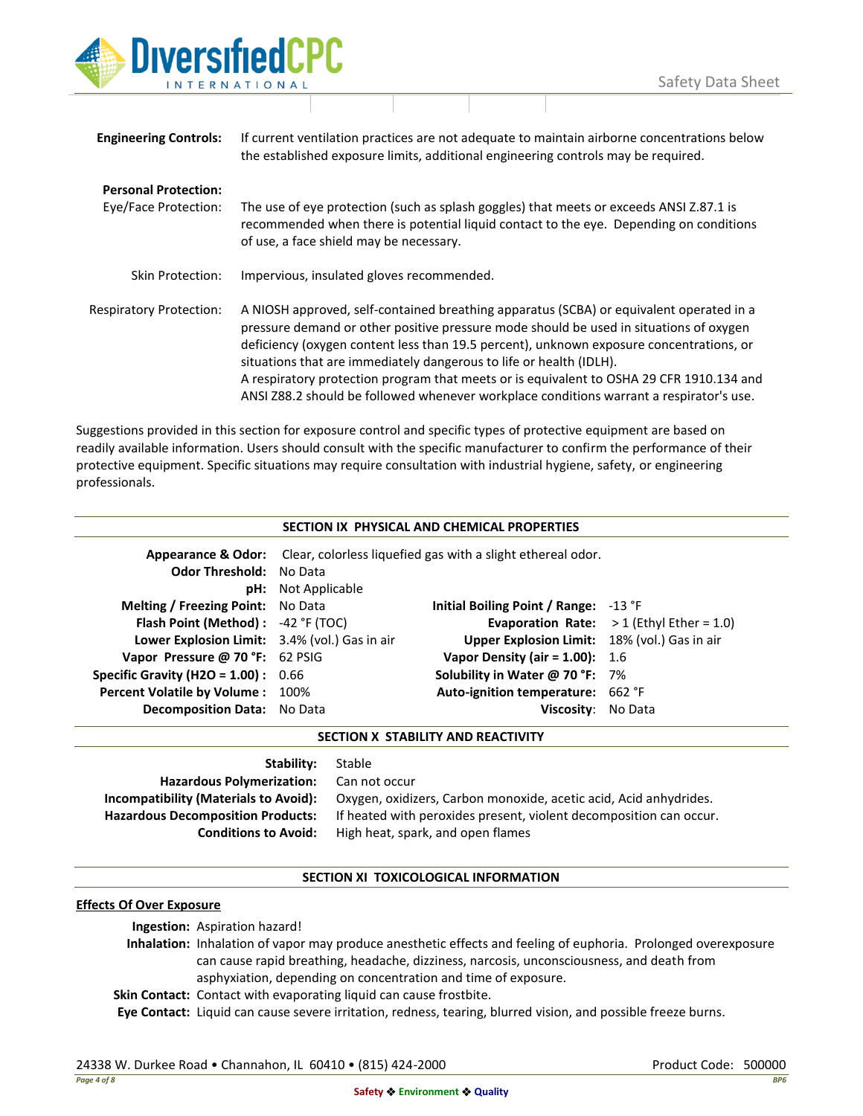

| <b>Engineering Controls:</b>                        | If current ventilation practices are not adequate to maintain airborne concentrations below<br>the established exposure limits, additional engineering controls may be required.                                                                                                                                                                                                                                                                                                                                                           |
|-----------------------------------------------------|--------------------------------------------------------------------------------------------------------------------------------------------------------------------------------------------------------------------------------------------------------------------------------------------------------------------------------------------------------------------------------------------------------------------------------------------------------------------------------------------------------------------------------------------|
| <b>Personal Protection:</b><br>Eye/Face Protection: | The use of eye protection (such as splash goggles) that meets or exceeds ANSI Z.87.1 is<br>recommended when there is potential liquid contact to the eye. Depending on conditions<br>of use, a face shield may be necessary.                                                                                                                                                                                                                                                                                                               |
| Skin Protection:                                    | Impervious, insulated gloves recommended.                                                                                                                                                                                                                                                                                                                                                                                                                                                                                                  |
| <b>Respiratory Protection:</b>                      | A NIOSH approved, self-contained breathing apparatus (SCBA) or equivalent operated in a<br>pressure demand or other positive pressure mode should be used in situations of oxygen<br>deficiency (oxygen content less than 19.5 percent), unknown exposure concentrations, or<br>situations that are immediately dangerous to life or health (IDLH).<br>A respiratory protection program that meets or is equivalent to OSHA 29 CFR 1910.134 and<br>ANSI Z88.2 should be followed whenever workplace conditions warrant a respirator's use. |

Suggestions provided in this section for exposure control and specific types of protective equipment are based on readily available information. Users should consult with the specific manufacturer to confirm the performance of their protective equipment. Specific situations may require consultation with industrial hygiene, safety, or engineering professionals.

|                                               |                           | SECTION IX PHYSICAL AND CHEMICAL PROPERTIES                                               |                                                   |
|-----------------------------------------------|---------------------------|-------------------------------------------------------------------------------------------|---------------------------------------------------|
|                                               |                           | <b>Appearance &amp; Odor:</b> Clear, colorless liquefied gas with a slight ethereal odor. |                                                   |
| <b>Odor Threshold: No Data</b>                |                           |                                                                                           |                                                   |
|                                               | <b>pH:</b> Not Applicable |                                                                                           |                                                   |
| Melting / Freezing Point: No Data             |                           | Initial Boiling Point / Range: $-13$ °F                                                   |                                                   |
| Flash Point (Method) : -42 °F (TOC)           |                           |                                                                                           | <b>Evaporation Rate:</b> $>1$ (Ethyl Ether = 1.0) |
| Lower Explosion Limit: 3.4% (vol.) Gas in air |                           | <b>Upper Explosion Limit:</b> 18% (vol.) Gas in air                                       |                                                   |
| Vapor Pressure @ 70 °F: 62 PSIG               |                           | Vapor Density (air = $1.00$ ): $1.6$                                                      |                                                   |
| <b>Specific Gravity (H2O = 1.00):</b> $0.66$  |                           | Solubility in Water @ 70 °F: $7\%$                                                        |                                                   |
| Percent Volatile by Volume : 100%             |                           | Auto-ignition temperature: 662 °F                                                         |                                                   |
| <b>Decomposition Data: No Data</b>            |                           | Viscosity:                                                                                | No Data                                           |

**SECTION X STABILITY AND REACTIVITY**

| Stability:                               |
|------------------------------------------|
| <b>Hazardous Polymerization:</b>         |
| Incompatibility (Materials to Avoid):    |
| <b>Hazardous Decomposition Products:</b> |
| <b>Conditions to Avoid:</b>              |

**Can not occur** Oxygen, oxidizers, Carbon monoxide, acetic acid, Acid anhydrides. If heated with peroxides present, violent decomposition can occur. **Conditions to Avoid:** High heat, spark, and open flames

#### **SECTION XI TOXICOLOGICAL INFORMATION**

### **Effects Of Over Exposure**

**Ingestion:** Aspiration hazard!

**Inhalation:** Inhalation of vapor may produce anesthetic effects and feeling of euphoria. Prolonged overexposure can cause rapid breathing, headache, dizziness, narcosis, unconsciousness, and death from asphyxiation, depending on concentration and time of exposure.

**Skin Contact:** Contact with evaporating liquid can cause frostbite.

**Stable** 

**Eye Contact:** Liquid can cause severe irritation, redness, tearing, blurred vision, and possible freeze burns.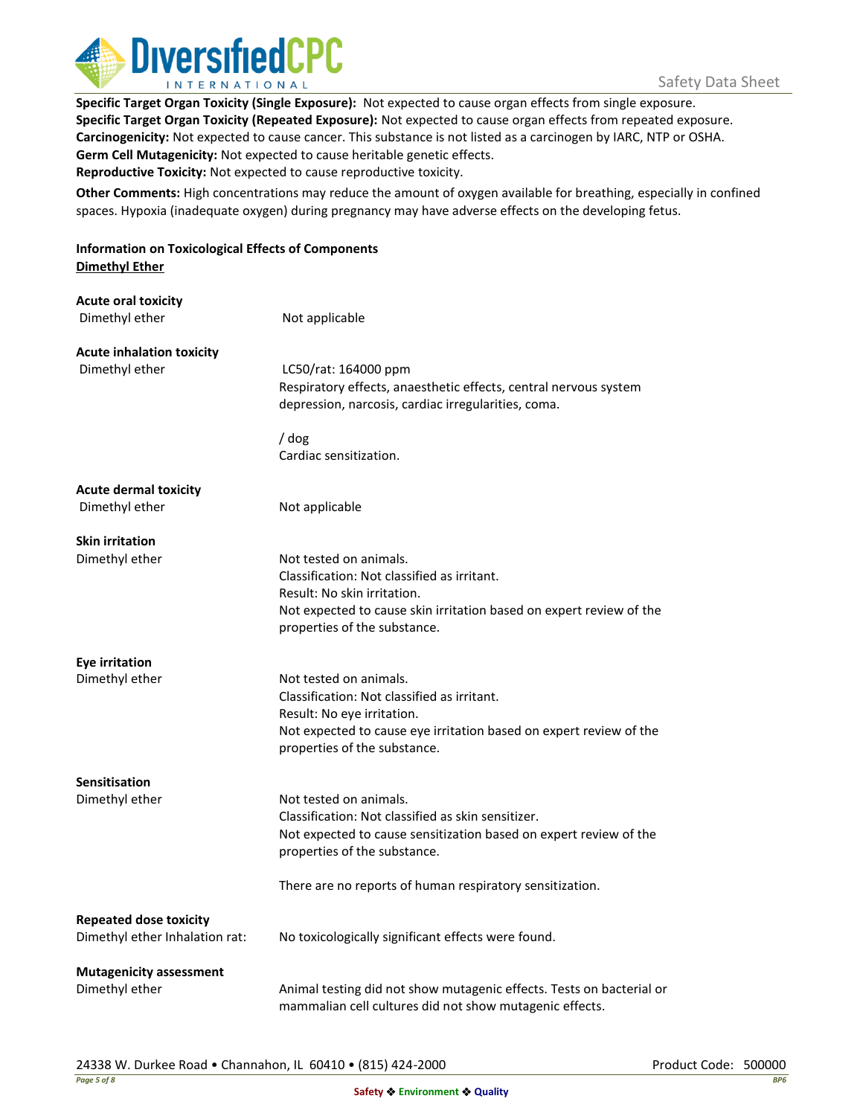

**Specific Target Organ Toxicity (Single Exposure):** Not expected to cause organ effects from single exposure. **Specific Target Organ Toxicity (Repeated Exposure):** Not expected to cause organ effects from repeated exposure. **Carcinogenicity:** Not expected to cause cancer. This substance is not listed as a carcinogen by IARC, NTP or OSHA. **Germ Cell Mutagenicity:** Not expected to cause heritable genetic effects. **Reproductive Toxicity:** Not expected to cause reproductive toxicity.

**Other Comments:** High concentrations may reduce the amount of oxygen available for breathing, especially in confined spaces. Hypoxia (inadequate oxygen) during pregnancy may have adverse effects on the developing fetus.

**Information on Toxicological Effects of Components Dimethyl Ether**

| <b>Acute oral toxicity</b><br>Dimethyl ether                    | Not applicable                                                                                                                                                                                              |
|-----------------------------------------------------------------|-------------------------------------------------------------------------------------------------------------------------------------------------------------------------------------------------------------|
| <b>Acute inhalation toxicity</b><br>Dimethyl ether              | LC50/rat: 164000 ppm<br>Respiratory effects, anaesthetic effects, central nervous system<br>depression, narcosis, cardiac irregularities, coma.                                                             |
|                                                                 | / dog<br>Cardiac sensitization.                                                                                                                                                                             |
| <b>Acute dermal toxicity</b><br>Dimethyl ether                  | Not applicable                                                                                                                                                                                              |
| <b>Skin irritation</b>                                          |                                                                                                                                                                                                             |
| Dimethyl ether                                                  | Not tested on animals.<br>Classification: Not classified as irritant.<br>Result: No skin irritation.<br>Not expected to cause skin irritation based on expert review of the<br>properties of the substance. |
| Eye irritation                                                  |                                                                                                                                                                                                             |
| Dimethyl ether                                                  | Not tested on animals.<br>Classification: Not classified as irritant.<br>Result: No eye irritation.<br>Not expected to cause eye irritation based on expert review of the<br>properties of the substance.   |
| <b>Sensitisation</b>                                            |                                                                                                                                                                                                             |
| Dimethyl ether                                                  | Not tested on animals.<br>Classification: Not classified as skin sensitizer.<br>Not expected to cause sensitization based on expert review of the<br>properties of the substance.                           |
|                                                                 | There are no reports of human respiratory sensitization.                                                                                                                                                    |
| <b>Repeated dose toxicity</b><br>Dimethyl ether Inhalation rat: | No toxicologically significant effects were found.                                                                                                                                                          |
| <b>Mutagenicity assessment</b><br>Dimethyl ether                | Animal testing did not show mutagenic effects. Tests on bacterial or<br>mammalian cell cultures did not show mutagenic effects.                                                                             |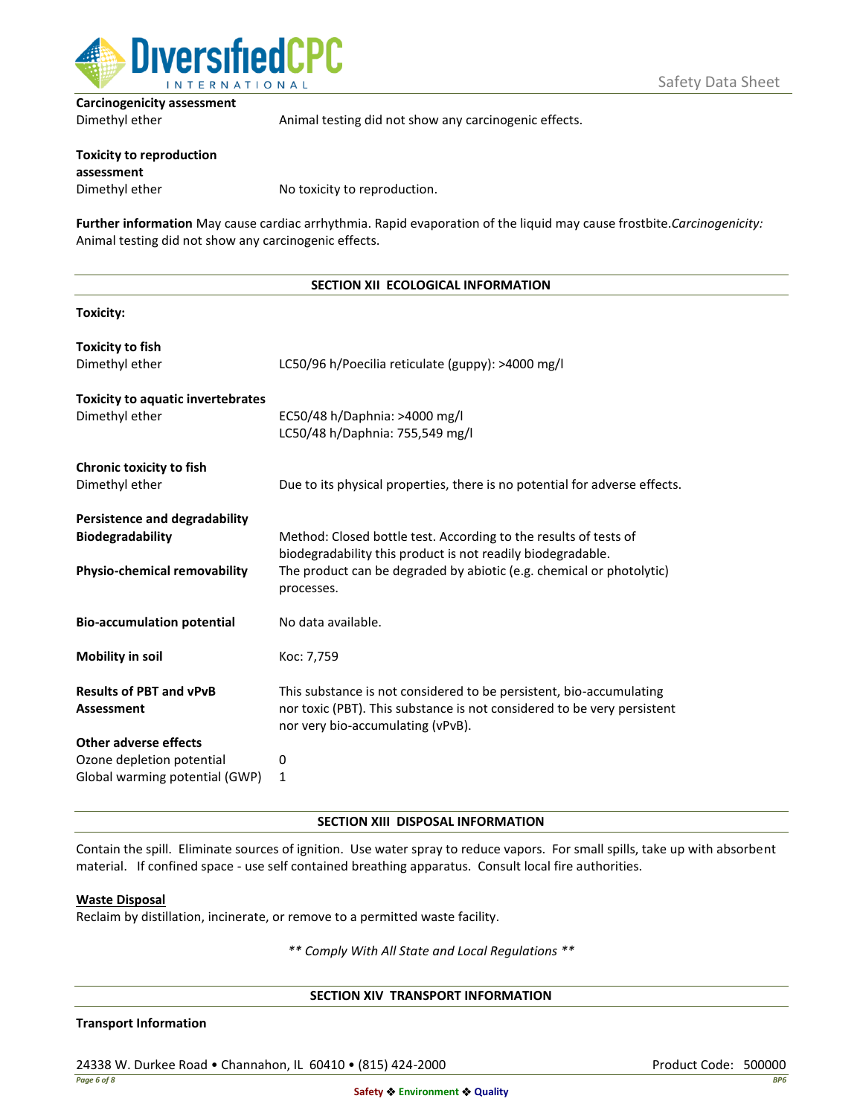

**Carcinogenicity assessment**

| Dimethyl ether                                | Animal testing did not show any carcinogenic effects. |
|-----------------------------------------------|-------------------------------------------------------|
| <b>Toxicity to reproduction</b><br>assessment |                                                       |
|                                               |                                                       |
| Dimethyl ether                                | No toxicity to reproduction.                          |

**Further information** May cause cardiac arrhythmia. Rapid evaporation of the liquid may cause frostbite.*Carcinogenicity:*  Animal testing did not show any carcinogenic effects.

#### **SECTION XII ECOLOGICAL INFORMATION**

**Toxicity:**

| <b>Toxicity to fish</b><br>Dimethyl ether                                                       | LC50/96 h/Poecilia reticulate (guppy): >4000 mg/l                                                                                                                                                                     |
|-------------------------------------------------------------------------------------------------|-----------------------------------------------------------------------------------------------------------------------------------------------------------------------------------------------------------------------|
| <b>Toxicity to aquatic invertebrates</b><br>Dimethyl ether                                      | EC50/48 h/Daphnia: >4000 mg/l<br>LC50/48 h/Daphnia: 755,549 mg/l                                                                                                                                                      |
| Chronic toxicity to fish<br>Dimethyl ether                                                      | Due to its physical properties, there is no potential for adverse effects.                                                                                                                                            |
| <b>Persistence and degradability</b><br>Biodegradability<br><b>Physio-chemical removability</b> | Method: Closed bottle test. According to the results of tests of<br>biodegradability this product is not readily biodegradable.<br>The product can be degraded by abiotic (e.g. chemical or photolytic)<br>processes. |
| <b>Bio-accumulation potential</b>                                                               | No data available.                                                                                                                                                                                                    |
| Mobility in soil                                                                                | Koc: 7,759                                                                                                                                                                                                            |
| <b>Results of PBT and vPvB</b><br><b>Assessment</b>                                             | This substance is not considered to be persistent, bio-accumulating<br>nor toxic (PBT). This substance is not considered to be very persistent<br>nor very bio-accumulating (vPvB).                                   |
| Other adverse effects<br>Ozone depletion potential<br>Global warming potential (GWP)            | 0<br>1                                                                                                                                                                                                                |

#### **SECTION XIII DISPOSAL INFORMATION**

Contain the spill. Eliminate sources of ignition. Use water spray to reduce vapors. For small spills, take up with absorbent material. If confined space - use self contained breathing apparatus. Consult local fire authorities.

#### **Waste Disposal**

Reclaim by distillation, incinerate, or remove to a permitted waste facility.

*\*\* Comply With All State and Local Regulations \*\**

#### **SECTION XIV TRANSPORT INFORMATION**

### **Transport Information**

24338 W. Durkee Road • Channahon, IL 60410 • (815) 424-2000 Product Code: 500000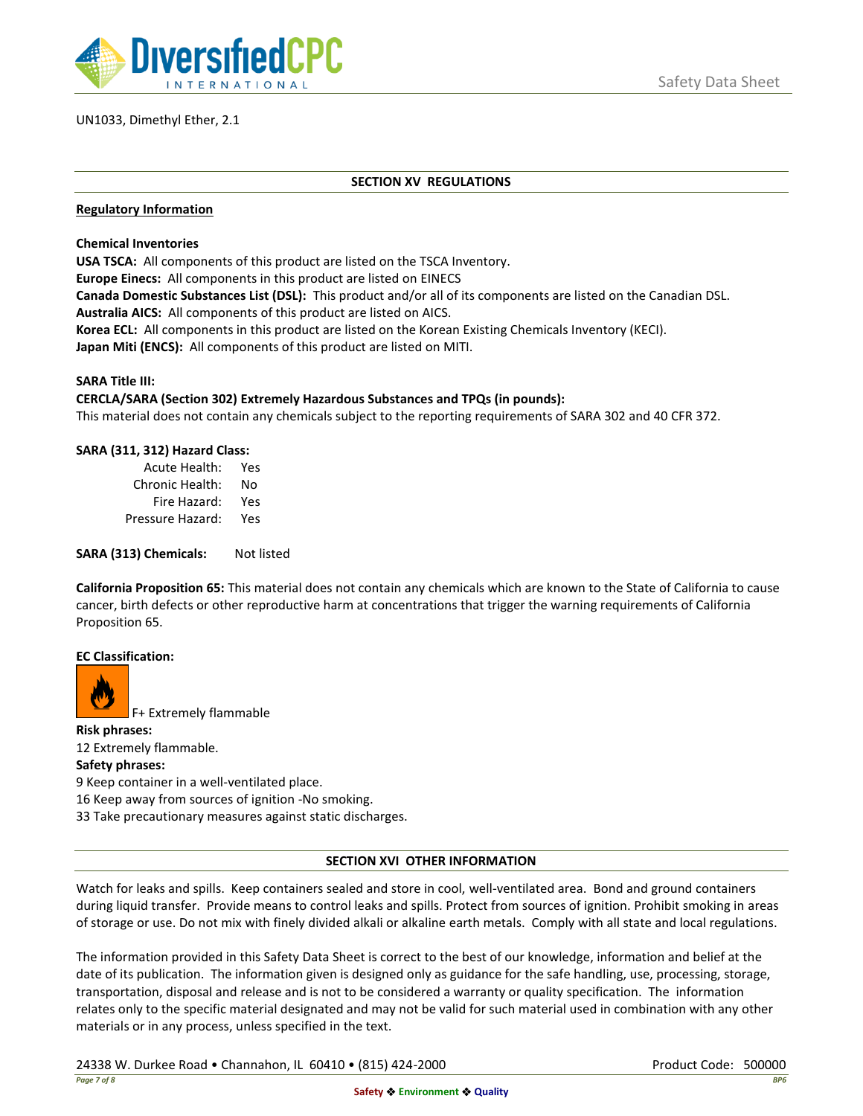

# UN1033, Dimethyl Ether, 2.1

### **SECTION XV REGULATIONS**

### **Regulatory Information**

**Chemical Inventories**

**USA TSCA:** All components of this product are listed on the TSCA Inventory.

**Europe Einecs:** All components in this product are listed on EINECS

**Canada Domestic Substances List (DSL):** This product and/or all of its components are listed on the Canadian DSL. **Australia AICS:** All components of this product are listed on AICS.

**Korea ECL:** All components in this product are listed on the Korean Existing Chemicals Inventory (KECI). **Japan Miti (ENCS):** All components of this product are listed on MITI.

#### **SARA Title III:**

## **CERCLA/SARA (Section 302) Extremely Hazardous Substances and TPQs (in pounds):**

This material does not contain any chemicals subject to the reporting requirements of SARA 302 and 40 CFR 372.

## **SARA (311, 312) Hazard Class:**

| Acute Health:    | Yes |
|------------------|-----|
| Chronic Health:  | No  |
| Fire Hazard:     | Yes |
| Pressure Hazard: | Yes |

**SARA (313) Chemicals:** Not listed

**California Proposition 65:** This material does not contain any chemicals which are known to the State of California to cause cancer, birth defects or other reproductive harm at concentrations that trigger the warning requirements of California Proposition 65.

#### **EC Classification:**



F+ Extremely flammable

**Risk phrases:** 12 Extremely flammable. **Safety phrases:** 9 Keep container in a well-ventilated place. 16 Keep away from sources of ignition -No smoking. 33 Take precautionary measures against static discharges.

# **SECTION XVI OTHER INFORMATION**

Watch for leaks and spills. Keep containers sealed and store in cool, well-ventilated area. Bond and ground containers during liquid transfer. Provide means to control leaks and spills. Protect from sources of ignition. Prohibit smoking in areas of storage or use. Do not mix with finely divided alkali or alkaline earth metals. Comply with all state and local regulations.

The information provided in this Safety Data Sheet is correct to the best of our knowledge, information and belief at the date of its publication. The information given is designed only as guidance for the safe handling, use, processing, storage, transportation, disposal and release and is not to be considered a warranty or quality specification. The information relates only to the specific material designated and may not be valid for such material used in combination with any other materials or in any process, unless specified in the text.